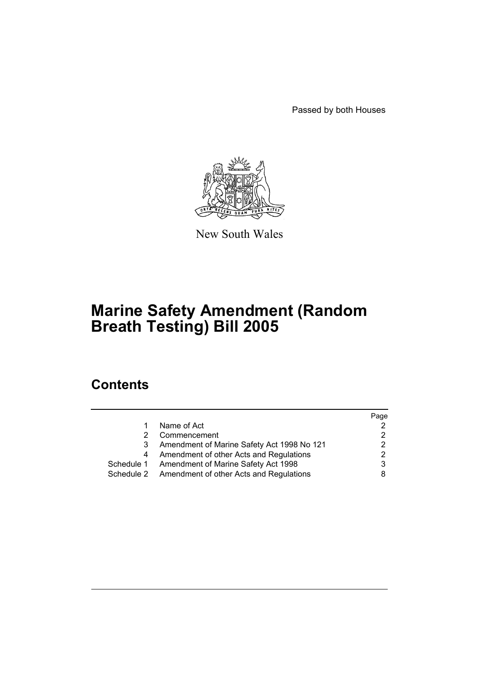Passed by both Houses



New South Wales

# **Marine Safety Amendment (Random Breath Testing) Bill 2005**

# **Contents**

|            |                                                    | Page |
|------------|----------------------------------------------------|------|
|            | Name of Act                                        |      |
|            | Commencement                                       |      |
| 3          | Amendment of Marine Safety Act 1998 No 121         |      |
|            | Amendment of other Acts and Regulations            |      |
| Schedule 1 | Amendment of Marine Safety Act 1998                |      |
|            | Schedule 2 Amendment of other Acts and Regulations |      |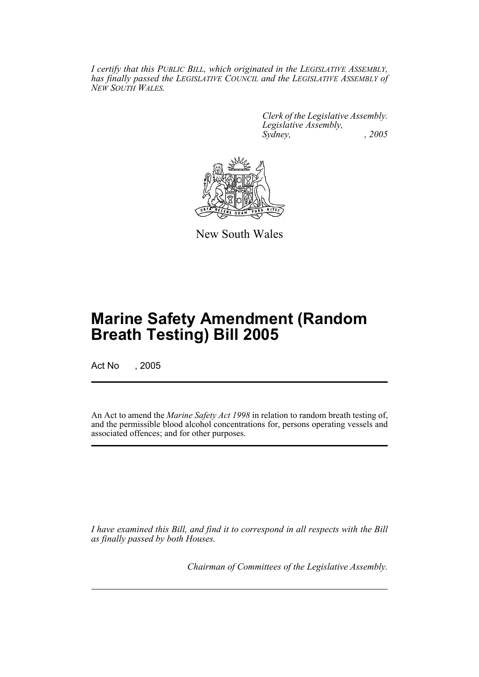*I certify that this PUBLIC BILL, which originated in the LEGISLATIVE ASSEMBLY, has finally passed the LEGISLATIVE COUNCIL and the LEGISLATIVE ASSEMBLY of NEW SOUTH WALES.*

> *Clerk of the Legislative Assembly. Legislative Assembly, Sydney, , 2005*



New South Wales

# **Marine Safety Amendment (Random Breath Testing) Bill 2005**

Act No , 2005

An Act to amend the *Marine Safety Act 1998* in relation to random breath testing of, and the permissible blood alcohol concentrations for, persons operating vessels and associated offences; and for other purposes.

*I have examined this Bill, and find it to correspond in all respects with the Bill as finally passed by both Houses.*

*Chairman of Committees of the Legislative Assembly.*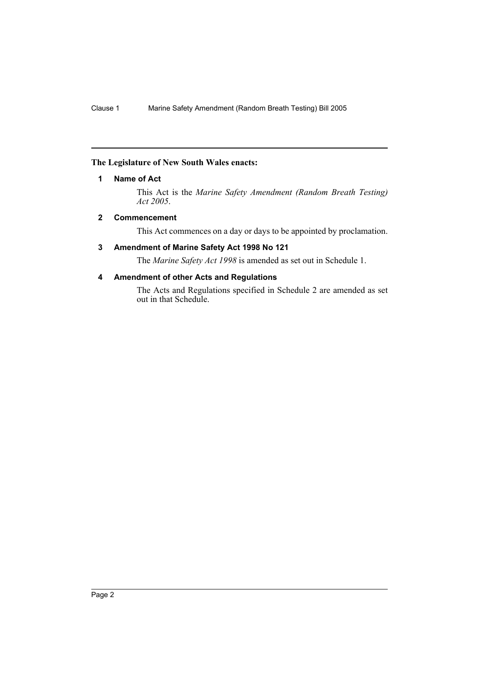### **The Legislature of New South Wales enacts:**

### **1 Name of Act**

This Act is the *Marine Safety Amendment (Random Breath Testing) Act 2005*.

#### **2 Commencement**

This Act commences on a day or days to be appointed by proclamation.

# **3 Amendment of Marine Safety Act 1998 No 121**

The *Marine Safety Act 1998* is amended as set out in Schedule 1.

# **4 Amendment of other Acts and Regulations**

The Acts and Regulations specified in Schedule 2 are amended as set out in that Schedule.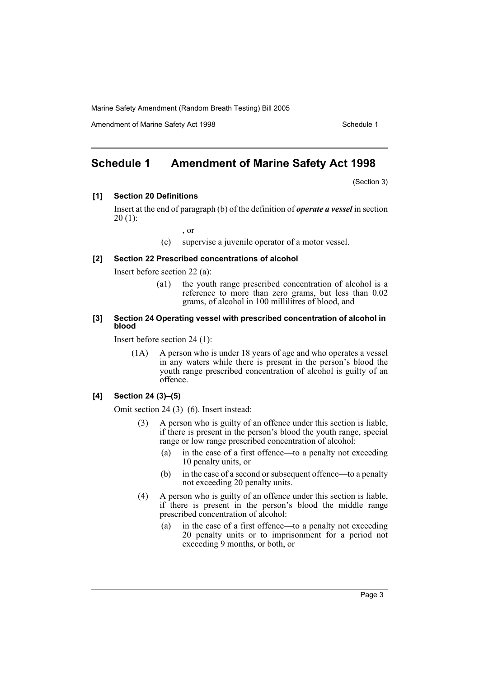Amendment of Marine Safety Act 1998 Schedule 1

# **Schedule 1 Amendment of Marine Safety Act 1998**

(Section 3)

#### **[1] Section 20 Definitions**

Insert at the end of paragraph (b) of the definition of *operate a vessel* in section  $20(1)$ :

, or

(c) supervise a juvenile operator of a motor vessel.

#### **[2] Section 22 Prescribed concentrations of alcohol**

Insert before section 22 (a):

(a1) the youth range prescribed concentration of alcohol is a reference to more than zero grams, but less than 0.02 grams, of alcohol in 100 millilitres of blood, and

#### **[3] Section 24 Operating vessel with prescribed concentration of alcohol in blood**

Insert before section 24 (1):

(1A) A person who is under 18 years of age and who operates a vessel in any waters while there is present in the person's blood the youth range prescribed concentration of alcohol is guilty of an offence.

#### **[4] Section 24 (3)–(5)**

Omit section 24 (3)–(6). Insert instead:

- A person who is guilty of an offence under this section is liable, if there is present in the person's blood the youth range, special range or low range prescribed concentration of alcohol:
	- (a) in the case of a first offence—to a penalty not exceeding 10 penalty units, or
	- (b) in the case of a second or subsequent offence—to a penalty not exceeding 20 penalty units.
- (4) A person who is guilty of an offence under this section is liable, if there is present in the person's blood the middle range prescribed concentration of alcohol:
	- (a) in the case of a first offence—to a penalty not exceeding 20 penalty units or to imprisonment for a period not exceeding 9 months, or both, or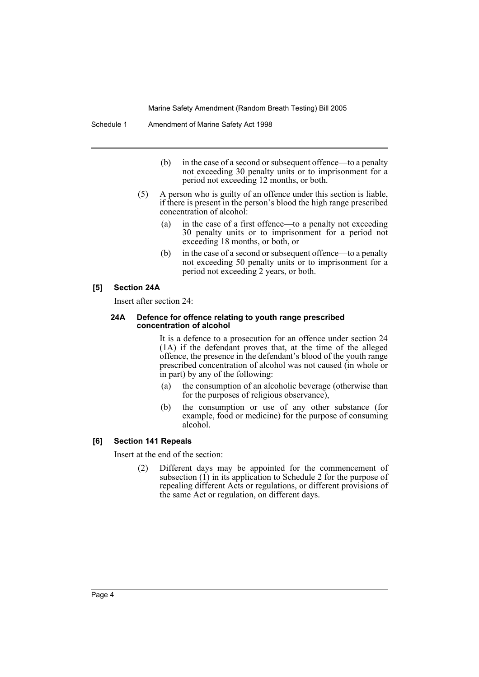- (b) in the case of a second or subsequent offence—to a penalty not exceeding 30 penalty units or to imprisonment for a period not exceeding 12 months, or both.
- (5) A person who is guilty of an offence under this section is liable, if there is present in the person's blood the high range prescribed concentration of alcohol:
	- (a) in the case of a first offence—to a penalty not exceeding 30 penalty units or to imprisonment for a period not exceeding 18 months, or both, or
	- (b) in the case of a second or subsequent offence—to a penalty not exceeding 50 penalty units or to imprisonment for a period not exceeding 2 years, or both.

#### **[5] Section 24A**

Insert after section 24:

#### **24A Defence for offence relating to youth range prescribed concentration of alcohol**

It is a defence to a prosecution for an offence under section 24 (1A) if the defendant proves that, at the time of the alleged offence, the presence in the defendant's blood of the youth range prescribed concentration of alcohol was not caused (in whole or in part) by any of the following:

- (a) the consumption of an alcoholic beverage (otherwise than for the purposes of religious observance),
- (b) the consumption or use of any other substance (for example, food or medicine) for the purpose of consuming alcohol.

#### **[6] Section 141 Repeals**

Insert at the end of the section:

(2) Different days may be appointed for the commencement of subsection (1) in its application to Schedule 2 for the purpose of repealing different Acts or regulations, or different provisions of the same Act or regulation, on different days.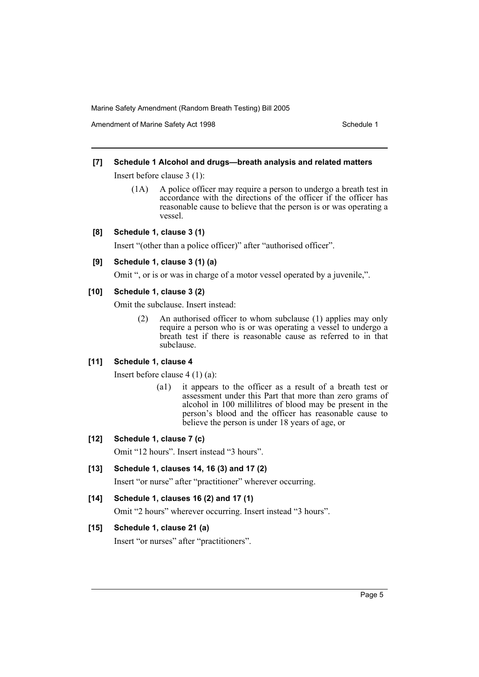Amendment of Marine Safety Act 1998 Schedule 1

# **[7] Schedule 1 Alcohol and drugs—breath analysis and related matters**

Insert before clause 3 (1):

- (1A) A police officer may require a person to undergo a breath test in accordance with the directions of the officer if the officer has reasonable cause to believe that the person is or was operating a vessel.
- **[8] Schedule 1, clause 3 (1)**

Insert "(other than a police officer)" after "authorised officer".

#### **[9] Schedule 1, clause 3 (1) (a)**

Omit ", or is or was in charge of a motor vessel operated by a juvenile,".

#### **[10] Schedule 1, clause 3 (2)**

Omit the subclause. Insert instead:

(2) An authorised officer to whom subclause (1) applies may only require a person who is or was operating a vessel to undergo a breath test if there is reasonable cause as referred to in that subclause.

#### **[11] Schedule 1, clause 4**

Insert before clause 4 (1) (a):

(a1) it appears to the officer as a result of a breath test or assessment under this Part that more than zero grams of alcohol in 100 millilitres of blood may be present in the person's blood and the officer has reasonable cause to believe the person is under 18 years of age, or

# **[12] Schedule 1, clause 7 (c)**

Omit "12 hours". Insert instead "3 hours".

# **[13] Schedule 1, clauses 14, 16 (3) and 17 (2)**

Insert "or nurse" after "practitioner" wherever occurring.

# **[14] Schedule 1, clauses 16 (2) and 17 (1)**

Omit "2 hours" wherever occurring. Insert instead "3 hours".

# **[15] Schedule 1, clause 21 (a)**

Insert "or nurses" after "practitioners".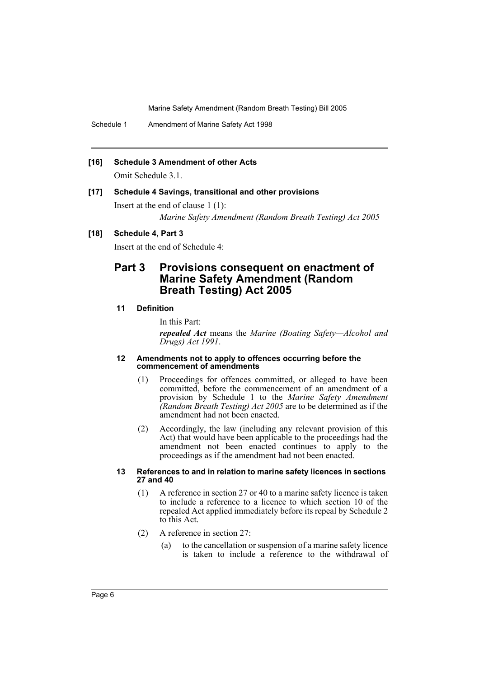Schedule 1 Amendment of Marine Safety Act 1998

#### **[16] Schedule 3 Amendment of other Acts**

Omit Schedule 3.1.

#### **[17] Schedule 4 Savings, transitional and other provisions**

Insert at the end of clause 1 (1):

*Marine Safety Amendment (Random Breath Testing) Act 2005*

# **[18] Schedule 4, Part 3**

Insert at the end of Schedule 4:

# **Part 3 Provisions consequent on enactment of Marine Safety Amendment (Random Breath Testing) Act 2005**

### **11 Definition**

In this Part:

*repealed Act* means the *Marine (Boating Safety—Alcohol and Drugs) Act 1991*.

#### **12 Amendments not to apply to offences occurring before the commencement of amendments**

- (1) Proceedings for offences committed, or alleged to have been committed, before the commencement of an amendment of a provision by Schedule 1 to the *Marine Safety Amendment (Random Breath Testing) Act 2005* are to be determined as if the amendment had not been enacted.
- (2) Accordingly, the law (including any relevant provision of this Act) that would have been applicable to the proceedings had the amendment not been enacted continues to apply to the proceedings as if the amendment had not been enacted.

#### **13 References to and in relation to marine safety licences in sections 27 and 40**

- (1) A reference in section 27 or 40 to a marine safety licence is taken to include a reference to a licence to which section 10 of the repealed Act applied immediately before its repeal by Schedule 2 to this Act.
- (2) A reference in section 27:
	- (a) to the cancellation or suspension of a marine safety licence is taken to include a reference to the withdrawal of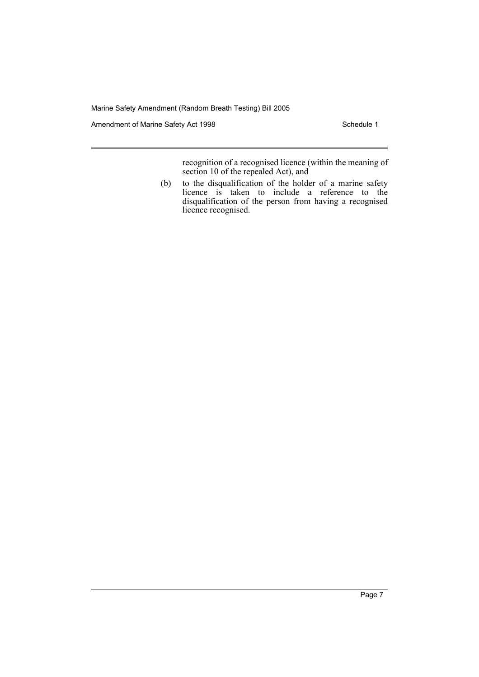Amendment of Marine Safety Act 1998 Schedule 1

recognition of a recognised licence (within the meaning of section 10 of the repealed Act), and

(b) to the disqualification of the holder of a marine safety licence is taken to include a reference to the disqualification of the person from having a recognised licence recognised.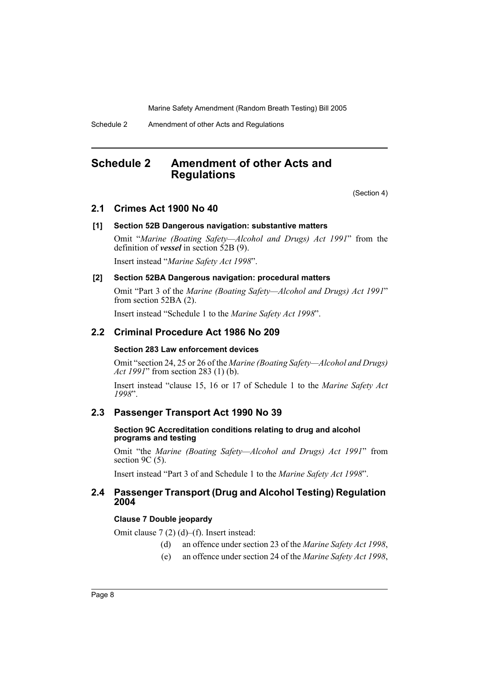Schedule 2 Amendment of other Acts and Regulations

# **Schedule 2 Amendment of other Acts and Regulations**

(Section 4)

# **2.1 Crimes Act 1900 No 40**

#### **[1] Section 52B Dangerous navigation: substantive matters**

Omit "*Marine (Boating Safety—Alcohol and Drugs) Act 1991*" from the definition of *vessel* in section 52B (9).

Insert instead "*Marine Safety Act 1998*".

# **[2] Section 52BA Dangerous navigation: procedural matters**

Omit "Part 3 of the *Marine (Boating Safety—Alcohol and Drugs) Act 1991*" from section 52BA (2).

Insert instead "Schedule 1 to the *Marine Safety Act 1998*".

# **2.2 Criminal Procedure Act 1986 No 209**

#### **Section 283 Law enforcement devices**

Omit "section 24, 25 or 26 of the *Marine (Boating Safety—Alcohol and Drugs) Act 1991*" from section 283 (1) (b).

Insert instead "clause 15, 16 or 17 of Schedule 1 to the *Marine Safety Act 1998*".

#### **2.3 Passenger Transport Act 1990 No 39**

#### **Section 9C Accreditation conditions relating to drug and alcohol programs and testing**

Omit "the *Marine (Boating Safety—Alcohol and Drugs) Act 1991*" from section 9C (5).

Insert instead "Part 3 of and Schedule 1 to the *Marine Safety Act 1998*".

# **2.4 Passenger Transport (Drug and Alcohol Testing) Regulation 2004**

### **Clause 7 Double jeopardy**

Omit clause 7 (2) (d)–(f). Insert instead:

- (d) an offence under section 23 of the *Marine Safety Act 1998*,
- (e) an offence under section 24 of the *Marine Safety Act 1998*,